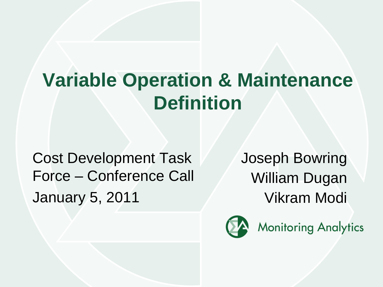# **Variable Operation & Maintenance Definition**

Cost Development Task Force – Conference Call January 5, 2011

Joseph Bowring William Dugan Vikram Modi

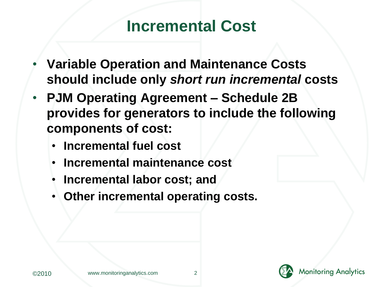#### **Incremental Cost**

- **Variable Operation and Maintenance Costs should include only** *short run incremental* **costs**
- **PJM Operating Agreement – Schedule 2B provides for generators to include the following components of cost:**
	- **Incremental fuel cost**
	- **Incremental maintenance cost**
	- **Incremental labor cost; and**
	- **Other incremental operating costs.**



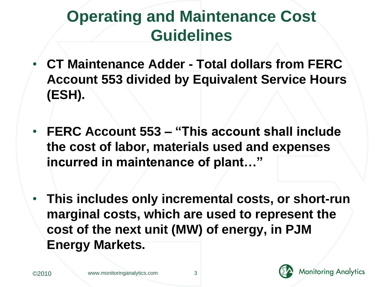## **Operating and Maintenance Cost Guidelines**

- **CT Maintenance Adder - Total dollars from FERC Account 553 divided by Equivalent Service Hours (ESH).**
- **FERC Account 553 – "This account shall include the cost of labor, materials used and expenses incurred in maintenance of plant…"**
- **This includes only incremental costs, or short-run marginal costs, which are used to represent the cost of the next unit (MW) of energy, in PJM Energy Markets.**

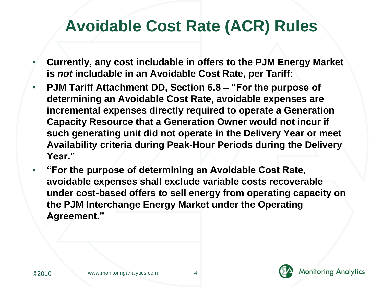#### **Avoidable Cost Rate (ACR) Rules**

- **Currently, any cost includable in offers to the PJM Energy Market is** *not* **includable in an Avoidable Cost Rate, per Tariff:**
- **PJM Tariff Attachment DD, Section 6.8 – "For the purpose of determining an Avoidable Cost Rate, avoidable expenses are incremental expenses directly required to operate a Generation Capacity Resource that a Generation Owner would not incur if such generating unit did not operate in the Delivery Year or meet Availability criteria during Peak-Hour Periods during the Delivery Year."**
- **"For the purpose of determining an Avoidable Cost Rate, avoidable expenses shall exclude variable costs recoverable under cost-based offers to sell energy from operating capacity on the PJM Interchange Energy Market under the Operating Agreement."**



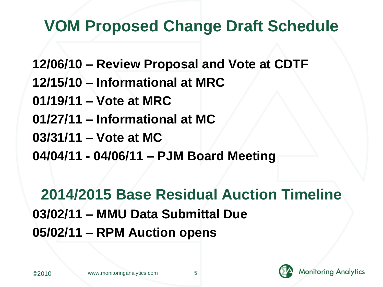### **VOM Proposed Change Draft Schedule**

**12/06/10 – Review Proposal and Vote at CDTF**

- **12/15/10 – Informational at MRC**
- **01/19/11 – Vote at MRC**
- **01/27/11 – Informational at MC**
- **03/31/11 – Vote at MC**
- **04/04/11 - 04/06/11 – PJM Board Meeting**

#### **2014/2015 Base Residual Auction Timeline 03/02/11 – MMU Data Submittal Due 05/02/11 – RPM Auction opens**



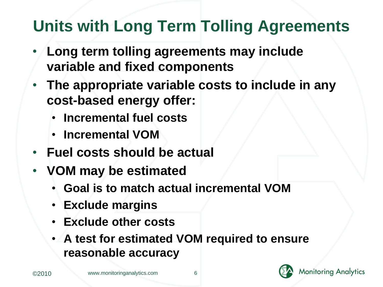## **Units with Long Term Tolling Agreements**

- **Long term tolling agreements may include variable and fixed components**
- **The appropriate variable costs to include in any cost-based energy offer:**
	- **Incremental fuel costs**
	- **Incremental VOM**
- **Fuel costs should be actual**
- **VOM may be estimated**
	- **Goal is to match actual incremental VOM**
	- **Exclude margins**
	- **Exclude other costs**
	- **A test for estimated VOM required to ensure reasonable accuracy**